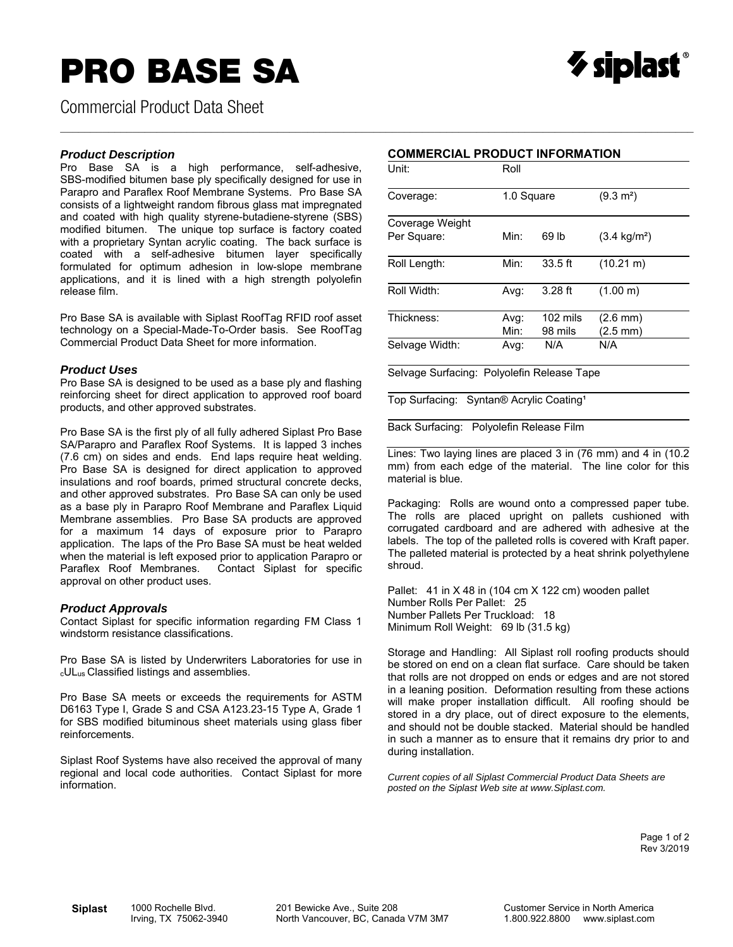## **PRO BASE SA**



Commercial Product Data Sheet

#### *Product Description*

Pro Base SA is a high performance, self-adhesive, SBS-modified bitumen base ply specifically designed for use in Parapro and Paraflex Roof Membrane Systems. Pro Base SA consists of a lightweight random fibrous glass mat impregnated and coated with high quality styrene-butadiene-styrene (SBS) modified bitumen. The unique top surface is factory coated with a proprietary Syntan acrylic coating. The back surface is coated with a self-adhesive bitumen layer specifically formulated for optimum adhesion in low-slope membrane applications, and it is lined with a high strength polyolefin release film.

Pro Base SA is available with Siplast RoofTag RFID roof asset technology on a Special-Made-To-Order basis. See RoofTag Commercial Product Data Sheet for more information.

#### *Product Uses*

Pro Base SA is designed to be used as a base ply and flashing reinforcing sheet for direct application to approved roof board products, and other approved substrates.

Pro Base SA is the first ply of all fully adhered Siplast Pro Base SA/Parapro and Paraflex Roof Systems. It is lapped 3 inches (7.6 cm) on sides and ends. End laps require heat welding. Pro Base SA is designed for direct application to approved insulations and roof boards, primed structural concrete decks, and other approved substrates. Pro Base SA can only be used as a base ply in Parapro Roof Membrane and Paraflex Liquid Membrane assemblies. Pro Base SA products are approved for a maximum 14 days of exposure prior to Parapro application. The laps of the Pro Base SA must be heat welded when the material is left exposed prior to application Parapro or Paraflex Roof Membranes. Contact Siplast for specific approval on other product uses.

#### *Product Approvals*

Contact Siplast for specific information regarding FM Class 1 windstorm resistance classifications.

Pro Base SA is listed by Underwriters Laboratories for use in cULus Classified listings and assemblies.

Pro Base SA meets or exceeds the requirements for ASTM D6163 Type I, Grade S and CSA A123.23-15 Type A, Grade 1 for SBS modified bituminous sheet materials using glass fiber reinforcements.

Siplast Roof Systems have also received the approval of many regional and local code authorities. Contact Siplast for more information.

#### **COMMERCIAL PRODUCT INFORMATION**

 $\_$  , and the state of the state of the state of the state of the state of the state of the state of the state of the state of the state of the state of the state of the state of the state of the state of the state of the

| Unit:                          | Roll         |                       |                                  |  |  |  |
|--------------------------------|--------------|-----------------------|----------------------------------|--|--|--|
| Coverage:                      | 1.0 Square   |                       | $(9.3 \text{ m}^2)$              |  |  |  |
| Coverage Weight<br>Per Square: | Min:         | 69 lb                 | $(3.4 \text{ kg/m}^2)$           |  |  |  |
| Roll Length:                   | Min:         | $33.5$ ft             | $(10.21 \text{ m})$              |  |  |  |
| Roll Width:                    | Avg:         | $3.28$ ft             | (1.00 m)                         |  |  |  |
| Thickness:                     | Avg:<br>Min: | $102$ mils<br>98 mils | $(2.6 \, \text{mm})$<br>(2.5 mm) |  |  |  |
| Selvage Width:                 | Avg:         | N/A                   | N/A                              |  |  |  |

Selvage Surfacing: Polyolefin Release Tape

Top Surfacing: Syntan® Acrylic Coating<sup>1</sup>

Back Surfacing: Polyolefin Release Film

Lines: Two laying lines are placed 3 in (76 mm) and 4 in (10.2 mm) from each edge of the material. The line color for this material is blue.

Packaging: Rolls are wound onto a compressed paper tube. The rolls are placed upright on pallets cushioned with corrugated cardboard and are adhered with adhesive at the labels. The top of the palleted rolls is covered with Kraft paper. The palleted material is protected by a heat shrink polyethylene shroud.

Pallet: 41 in X 48 in (104 cm X 122 cm) wooden pallet Number Rolls Per Pallet: 25 Number Pallets Per Truckload: 18 Minimum Roll Weight: 69 lb (31.5 kg)

Storage and Handling: All Siplast roll roofing products should be stored on end on a clean flat surface. Care should be taken that rolls are not dropped on ends or edges and are not stored in a leaning position. Deformation resulting from these actions will make proper installation difficult. All roofing should be stored in a dry place, out of direct exposure to the elements, and should not be double stacked. Material should be handled in such a manner as to ensure that it remains dry prior to and during installation.

*Current copies of all Siplast Commercial Product Data Sheets are posted on the Siplast Web site at www.Siplast.com.* 

> Page 1 of 2 Rev 3/2019